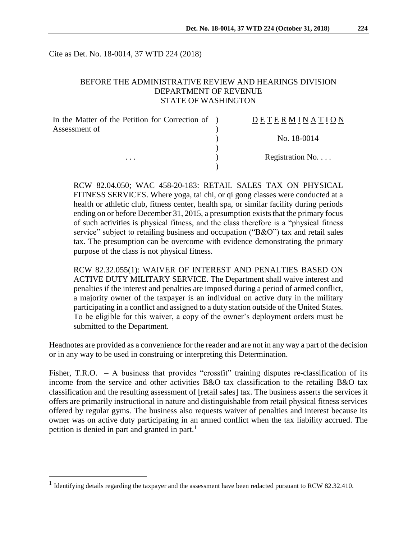Cite as Det. No. 18-0014, 37 WTD 224 (2018)

## BEFORE THE ADMINISTRATIVE REVIEW AND HEARINGS DIVISION DEPARTMENT OF REVENUE STATE OF WASHINGTON

| In the Matter of the Petition for Correction of ) | DETERMINATION   |
|---------------------------------------------------|-----------------|
| Assessment of                                     |                 |
|                                                   | No. 18-0014     |
|                                                   |                 |
| $\cdots$                                          | Registration No |
|                                                   |                 |

RCW 82.04.050; WAC 458-20-183: RETAIL SALES TAX ON PHYSICAL FITNESS SERVICES. Where yoga, tai chi, or qi gong classes were conducted at a health or athletic club, fitness center, health spa, or similar facility during periods ending on or before December 31, 2015, a presumption exists that the primary focus of such activities is physical fitness, and the class therefore is a "physical fitness service" subject to retailing business and occupation ("B&O") tax and retail sales tax. The presumption can be overcome with evidence demonstrating the primary purpose of the class is not physical fitness.

RCW 82.32.055(1): WAIVER OF INTEREST AND PENALTIES BASED ON ACTIVE DUTY MILITARY SERVICE. The Department shall waive interest and penalties if the interest and penalties are imposed during a period of armed conflict, a majority owner of the taxpayer is an individual on active duty in the military participating in a conflict and assigned to a duty station outside of the United States. To be eligible for this waiver, a copy of the owner's deployment orders must be submitted to the Department.

Headnotes are provided as a convenience for the reader and are not in any way a part of the decision or in any way to be used in construing or interpreting this Determination.

Fisher, T.R.O. - A business that provides "crossfit" training disputes re-classification of its income from the service and other activities B&O tax classification to the retailing B&O tax classification and the resulting assessment of [retail sales] tax. The business asserts the services it offers are primarily instructional in nature and distinguishable from retail physical fitness services offered by regular gyms. The business also requests waiver of penalties and interest because its owner was on active duty participating in an armed conflict when the tax liability accrued. The petition is denied in part and granted in part.<sup>1</sup>

 $\overline{a}$ 

<sup>&</sup>lt;sup>1</sup> Identifying details regarding the taxpayer and the assessment have been redacted pursuant to RCW 82.32.410.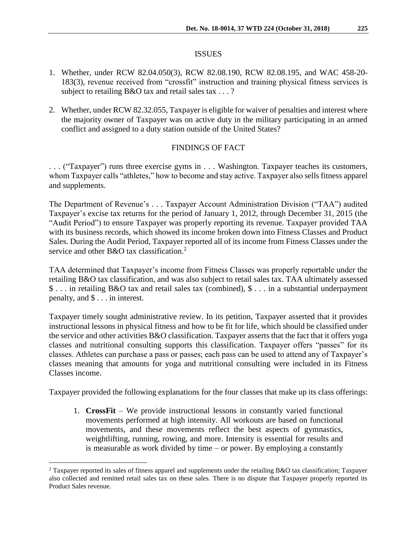## ISSUES

- 1. Whether, under RCW 82.04.050(3), RCW 82.08.190, RCW 82.08.195, and WAC 458-20- 183(3), revenue received from "crossfit" instruction and training physical fitness services is subject to retailing B&O tax and retail sales tax . . . ?
- 2. Whether, under RCW 82.32.055, Taxpayer is eligible for waiver of penalties and interest where the majority owner of Taxpayer was on active duty in the military participating in an armed conflict and assigned to a duty station outside of the United States?

# FINDINGS OF FACT

. . . ("Taxpayer") runs three exercise gyms in . . . Washington. Taxpayer teaches its customers, whom Taxpayer calls "athletes," how to become and stay active. Taxpayer also sells fitness apparel and supplements.

The Department of Revenue's . . . Taxpayer Account Administration Division ("TAA") audited Taxpayer's excise tax returns for the period of January 1, 2012, through December 31, 2015 (the "Audit Period") to ensure Taxpayer was properly reporting its revenue. Taxpayer provided TAA with its business records, which showed its income broken down into Fitness Classes and Product Sales. During the Audit Period, Taxpayer reported all of its income from Fitness Classes under the service and other B&O tax classification.<sup>2</sup>

TAA determined that Taxpayer's income from Fitness Classes was properly reportable under the retailing B&O tax classification, and was also subject to retail sales tax. TAA ultimately assessed \$ . . . in retailing B&O tax and retail sales tax (combined), \$ . . . in a substantial underpayment penalty, and \$ . . . in interest.

Taxpayer timely sought administrative review. In its petition, Taxpayer asserted that it provides instructional lessons in physical fitness and how to be fit for life, which should be classified under the service and other activities B&O classification. Taxpayer asserts that the fact that it offers yoga classes and nutritional consulting supports this classification. Taxpayer offers "passes" for its classes. Athletes can purchase a pass or passes; each pass can be used to attend any of Taxpayer's classes meaning that amounts for yoga and nutritional consulting were included in its Fitness Classes income.

Taxpayer provided the following explanations for the four classes that make up its class offerings:

1. **CrossFit** – We provide instructional lessons in constantly varied functional movements performed at high intensity. All workouts are based on functional movements, and these movements reflect the best aspects of gymnastics, weightlifting, running, rowing, and more. Intensity is essential for results and is measurable as work divided by time – or power. By employing a constantly

 $\overline{a}$ 

<sup>2</sup> Taxpayer reported its sales of fitness apparel and supplements under the retailing B&O tax classification; Taxpayer also collected and remitted retail sales tax on these sales. There is no dispute that Taxpayer properly reported its Product Sales revenue.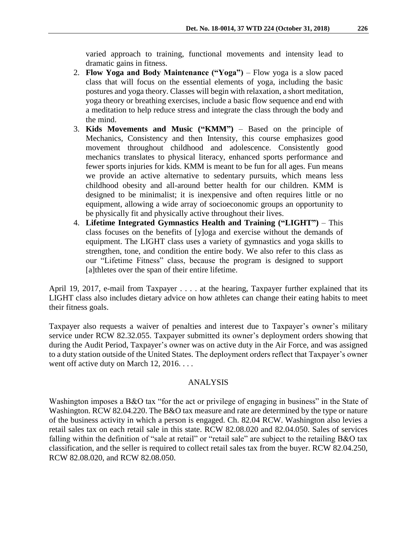varied approach to training, functional movements and intensity lead to dramatic gains in fitness.

- 2. **Flow Yoga and Body Maintenance ("Yoga")**  Flow yoga is a slow paced class that will focus on the essential elements of yoga, including the basic postures and yoga theory. Classes will begin with relaxation, a short meditation, yoga theory or breathing exercises, include a basic flow sequence and end with a meditation to help reduce stress and integrate the class through the body and the mind.
- 3. **Kids Movements and Music ("KMM")**  Based on the principle of Mechanics, Consistency and then Intensity, this course emphasizes good movement throughout childhood and adolescence. Consistently good mechanics translates to physical literacy, enhanced sports performance and fewer sports injuries for kids. KMM is meant to be fun for all ages. Fun means we provide an active alternative to sedentary pursuits, which means less childhood obesity and all-around better health for our children. KMM is designed to be minimalist; it is inexpensive and often requires little or no equipment, allowing a wide array of socioeconomic groups an opportunity to be physically fit and physically active throughout their lives.
- 4. **Lifetime Integrated Gymnastics Health and Training ("LIGHT")**  This class focuses on the benefits of [y]oga and exercise without the demands of equipment. The LIGHT class uses a variety of gymnastics and yoga skills to strengthen, tone, and condition the entire body. We also refer to this class as our "Lifetime Fitness" class, because the program is designed to support [a]thletes over the span of their entire lifetime.

April 19, 2017, e-mail from Taxpayer . . . . at the hearing, Taxpayer further explained that its LIGHT class also includes dietary advice on how athletes can change their eating habits to meet their fitness goals.

Taxpayer also requests a waiver of penalties and interest due to Taxpayer's owner's military service under RCW 82.32.055. Taxpayer submitted its owner's deployment orders showing that during the Audit Period, Taxpayer's owner was on active duty in the Air Force, and was assigned to a duty station outside of the United States. The deployment orders reflect that Taxpayer's owner went off active duty on March 12, 2016. . . .

#### ANALYSIS

Washington imposes a B&O tax "for the act or privilege of engaging in business" in the State of Washington. RCW 82.04.220. The B&O tax measure and rate are determined by the type or nature of the business activity in which a person is engaged. Ch. 82.04 RCW. Washington also levies a retail sales tax on each retail sale in this state. RCW 82.08.020 and 82.04.050. Sales of services falling within the definition of "sale at retail" or "retail sale" are subject to the retailing B&O tax classification, and the seller is required to collect retail sales tax from the buyer. RCW 82.04.250, RCW 82.08.020, and RCW 82.08.050.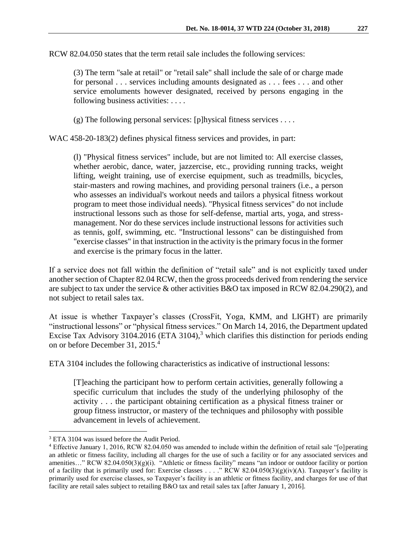RCW 82.04.050 states that the term retail sale includes the following services:

(3) The term "sale at retail" or "retail sale" shall include the sale of or charge made for personal . . . services including amounts designated as . . . fees . . . and other service emoluments however designated, received by persons engaging in the following business activities: . . . .

(g) The following personal services: [p]hysical fitness services ....

WAC 458-20-183(2) defines physical fitness services and provides, in part:

(l) "Physical fitness services" include, but are not limited to: All exercise classes, whether aerobic, dance, water, jazzercise, etc., providing running tracks, weight lifting, weight training, use of exercise equipment, such as treadmills, bicycles, stair-masters and rowing machines, and providing personal trainers (i.e., a person who assesses an individual's workout needs and tailors a physical fitness workout program to meet those individual needs). "Physical fitness services" do not include instructional lessons such as those for self-defense, martial arts, yoga, and stressmanagement. Nor do these services include instructional lessons for activities such as tennis, golf, swimming, etc. "Instructional lessons" can be distinguished from "exercise classes" in that instruction in the activity is the primary focus in the former and exercise is the primary focus in the latter.

If a service does not fall within the definition of "retail sale" and is not explicitly taxed under another section of Chapter 82.04 RCW, then the gross proceeds derived from rendering the service are subject to tax under the service & other activities B&O tax imposed in RCW 82.04.290(2), and not subject to retail sales tax.

At issue is whether Taxpayer's classes (CrossFit, Yoga, KMM, and LIGHT) are primarily "instructional lessons" or "physical fitness services." On March 14, 2016, the Department updated Excise Tax Advisory 3104.2016 (ETA 3104),<sup>3</sup> which clarifies this distinction for periods ending on or before December 31, 2015. 4

ETA 3104 includes the following characteristics as indicative of instructional lessons:

[T]eaching the participant how to perform certain activities, generally following a specific curriculum that includes the study of the underlying philosophy of the activity . . . the participant obtaining certification as a physical fitness trainer or group fitness instructor, or mastery of the techniques and philosophy with possible advancement in levels of achievement.

 $\overline{a}$ 

<sup>&</sup>lt;sup>3</sup> ETA 3104 was issued before the Audit Period.

<sup>4</sup> Effective January 1, 2016, RCW 82.04.050 was amended to include within the definition of retail sale "[o]perating an athletic or fitness facility, including all charges for the use of such a facility or for any associated services and amenities..." RCW 82.04.050(3)(g)(i). "Athletic or fitness facility" means "an indoor or outdoor facility or portion of a facility that is primarily used for: Exercise classes . . . ." RCW 82.04.050(3)(g)(iv)(A). Taxpayer's facility is primarily used for exercise classes, so Taxpayer's facility is an athletic or fitness facility, and charges for use of that facility are retail sales subject to retailing B&O tax and retail sales tax [after January 1, 2016].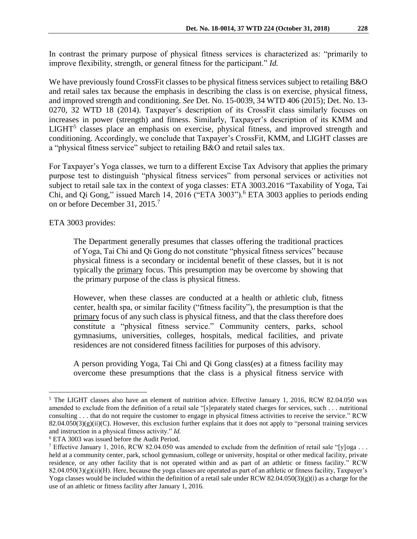In contrast the primary purpose of physical fitness services is characterized as: "primarily to improve flexibility, strength, or general fitness for the participant." *Id.*

We have previously found CrossFit classes to be physical fitness services subject to retailing B&O and retail sales tax because the emphasis in describing the class is on exercise, physical fitness, and improved strength and conditioning. *See* Det. No. 15-0039, 34 WTD 406 (2015); Det. No. 13- 0270, 32 WTD 18 (2014). Taxpayer's description of its CrossFit class similarly focuses on increases in power (strength) and fitness. Similarly, Taxpayer's description of its KMM and  $LIGHT<sup>5</sup>$  classes place an emphasis on exercise, physical fitness, and improved strength and conditioning. Accordingly, we conclude that Taxpayer's CrossFit, KMM, and LIGHT classes are a "physical fitness service" subject to retailing B&O and retail sales tax.

For Taxpayer's Yoga classes, we turn to a different Excise Tax Advisory that applies the primary purpose test to distinguish "physical fitness services" from personal services or activities not subject to retail sale tax in the context of yoga classes: ETA 3003.2016 "Taxability of Yoga, Tai Chi, and Qi Gong," issued March 14, 2016 ("ETA 3003").<sup>6</sup> ETA 3003 applies to periods ending on or before December 31, 2015.<sup>7</sup>

ETA 3003 provides:

 $\overline{a}$ 

The Department generally presumes that classes offering the traditional practices of Yoga, Tai Chi and Qi Gong do not constitute "physical fitness services" because physical fitness is a secondary or incidental benefit of these classes, but it is not typically the primary focus. This presumption may be overcome by showing that the primary purpose of the class is physical fitness.

However, when these classes are conducted at a health or athletic club, fitness center, health spa, or similar facility ("fitness facility"), the presumption is that the primary focus of any such class is physical fitness, and that the class therefore does constitute a "physical fitness service." Community centers, parks, school gymnasiums, universities, colleges, hospitals, medical facilities, and private residences are not considered fitness facilities for purposes of this advisory.

A person providing Yoga, Tai Chi and Qi Gong class(es) at a fitness facility may overcome these presumptions that the class is a physical fitness service with

<sup>&</sup>lt;sup>5</sup> The LIGHT classes also have an element of nutrition advice. Effective January 1, 2016, RCW 82.04.050 was amended to exclude from the definition of a retail sale "[s]eparately stated charges for services, such . . . nutritional consulting . . . that do not require the customer to engage in physical fitness activities to receive the service." RCW  $82.04.050(3)(g)(ii)(C)$ . However, this exclusion further explains that it does not apply to "personal training services" and instruction in a physical fitness activity." *Id.*

<sup>6</sup> ETA 3003 was issued before the Audit Period.

<sup>&</sup>lt;sup>7</sup> Effective January 1, 2016, RCW 82.04.050 was amended to exclude from the definition of retail sale "[y]oga . . . held at a community center, park, school gymnasium, college or university, hospital or other medical facility, private residence, or any other facility that is not operated within and as part of an athletic or fitness facility." RCW  $82.04.050(3)(g)(ii)(H)$ . Here, because the yoga classes are operated as part of an athletic or fitness facility, Taxpayer's Yoga classes would be included within the definition of a retail sale under RCW 82.04.050(3)(g)(i) as a charge for the use of an athletic or fitness facility after January 1, 2016.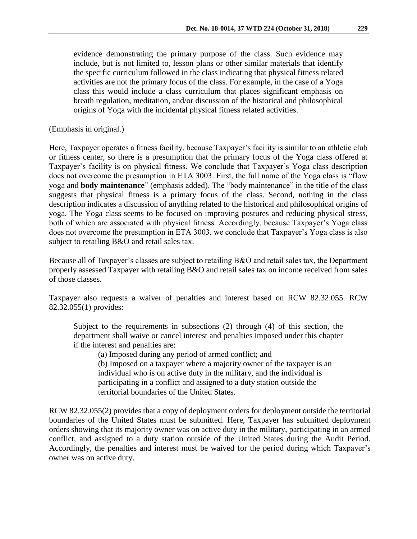evidence demonstrating the primary purpose of the class. Such evidence may include, but is not limited to, lesson plans or other similar materials that identify the specific curriculum followed in the class indicating that physical fitness related activities are not the primary focus of the class. For example, in the case of a Yoga class this would include a class curriculum that places significant emphasis on breath regulation, meditation, and/or discussion of the historical and philosophical origins of Yoga with the incidental physical fitness related activities.

(Emphasis in original.)

Here, Taxpayer operates a fitness facility, because Taxpayer's facility is similar to an athletic club or fitness center, so there is a presumption that the primary focus of the Yoga class offered at Taxpayer's facility is on physical fitness. We conclude that Taxpayer's Yoga class description does not overcome the presumption in ETA 3003. First, the full name of the Yoga class is "flow yoga and **body maintenance**" (emphasis added). The "body maintenance" in the title of the class suggests that physical fitness is a primary focus of the class. Second, nothing in the class description indicates a discussion of anything related to the historical and philosophical origins of yoga. The Yoga class seems to be focused on improving postures and reducing physical stress, both of which are associated with physical fitness. Accordingly, because Taxpayer's Yoga class does not overcome the presumption in ETA 3003, we conclude that Taxpayer's Yoga class is also subject to retailing B&O and retail sales tax.

Because all of Taxpayer's classes are subject to retailing B&O and retail sales tax, the Department properly assessed Taxpayer with retailing B&O and retail sales tax on income received from sales of those classes.

Taxpayer also requests a waiver of penalties and interest based on RCW 82.32.055. RCW 82.32.055(1) provides:

Subject to the requirements in subsections (2) through (4) of this section, the department shall waive or cancel interest and penalties imposed under this chapter if the interest and penalties are:

(a) Imposed during any period of armed conflict; and

(b) Imposed on a taxpayer where a majority owner of the taxpayer is an individual who is on active duty in the military, and the individual is participating in a conflict and assigned to a duty station outside the territorial boundaries of the United States.

RCW 82.32.055(2) provides that a copy of deployment orders for deployment outside the territorial boundaries of the United States must be submitted. Here, Taxpayer has submitted deployment orders showing that its majority owner was on active duty in the military, participating in an armed conflict, and assigned to a duty station outside of the United States during the Audit Period. Accordingly, the penalties and interest must be waived for the period during which Taxpayer's owner was on active duty.